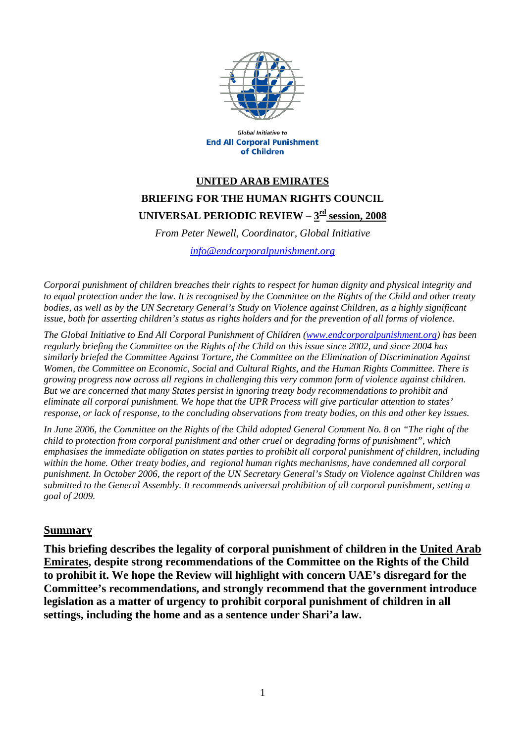

**Global Initiative to End All Corporal Punishment** of Children

## **UNITED ARAB EMIRATES BRIEFING FOR THE HUMAN RIGHTS COUNCIL**  UNIVERSAL PERIODIC REVIEW –  $3<sup>rd</sup>$  session, 2008

*From Peter Newell, Coordinator, Global Initiative* 

*[info@endcorporalpunishment.org](mailto:info@endcorporalpunishment.org)*

*Corporal punishment of children breaches their rights to respect for human dignity and physical integrity and to equal protection under the law. It is recognised by the Committee on the Rights of the Child and other treaty*  bodies, as well as by the UN Secretary General's Study on Violence against Children, as a highly significant *issue, both for asserting children's status as rights holders and for the prevention of all forms of violence.* 

*The Global Initiative to End All Corporal Punishment of Children [\(www.endcorporalpunishment.org](http://www.endcorporalpunishment.org/)) has been regularly briefing the Committee on the Rights of the Child on this issue since 2002, and since 2004 has similarly briefed the Committee Against Torture, the Committee on the Elimination of Discrimination Against Women, the Committee on Economic, Social and Cultural Rights, and the Human Rights Committee. There is growing progress now across all regions in challenging this very common form of violence against children. But we are concerned that many States persist in ignoring treaty body recommendations to prohibit and eliminate all corporal punishment. We hope that the UPR Process will give particular attention to states' response, or lack of response, to the concluding observations from treaty bodies, on this and other key issues.* 

*In June 2006, the Committee on the Rights of the Child adopted General Comment No. 8 on "The right of the child to protection from corporal punishment and other cruel or degrading forms of punishment", which emphasises the immediate obligation on states parties to prohibit all corporal punishment of children, including within the home. Other treaty bodies, and regional human rights mechanisms, have condemned all corporal punishment. In October 2006, the report of the UN Secretary General's Study on Violence against Children was submitted to the General Assembly. It recommends universal prohibition of all corporal punishment, setting a goal of 2009.*

## **Summary**

**This briefing describes the legality of corporal punishment of children in the United Arab Emirates, despite strong recommendations of the Committee on the Rights of the Child to prohibit it. We hope the Review will highlight with concern UAE's disregard for the Committee's recommendations, and strongly recommend that the government introduce legislation as a matter of urgency to prohibit corporal punishment of children in all settings, including the home and as a sentence under Shari'a law.**